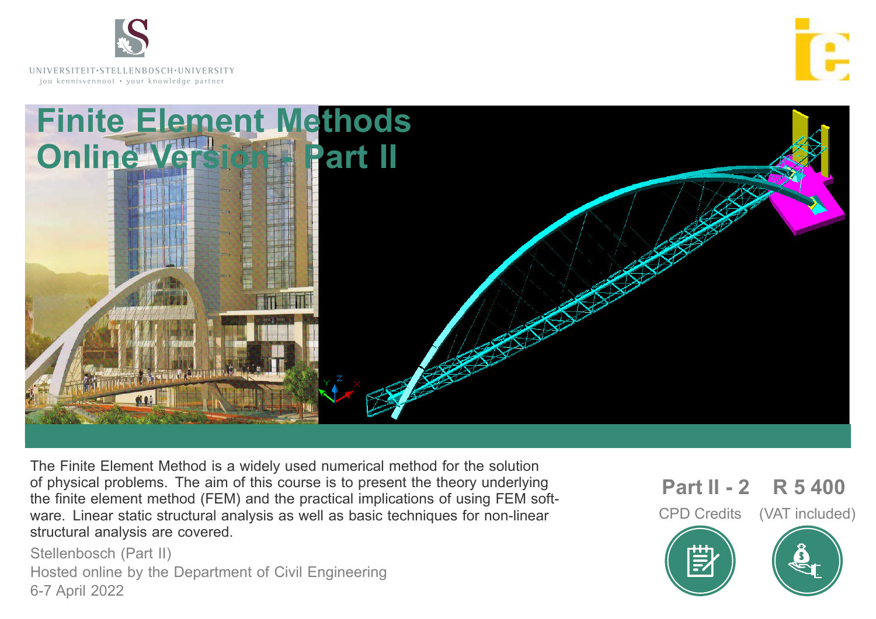

**UNI V E R SI T EI T**• **ST E L L EN BO S CH**•**UNI V E R SI T Y** jou kennisvennoot • your knowledge partner





The Finite Element Method is a widely used numerical method for the solution of physical problems. The aim of this course is to present the theory underlying the finite element method (FEM) and the practical implications of using FEM software. Linear static structural analysis as well as basic techniques for non-linear structural analysis are covered.

Stellenbosch (Part II) Hosted online by the Department of Civil Engineering 6-7 April 2022

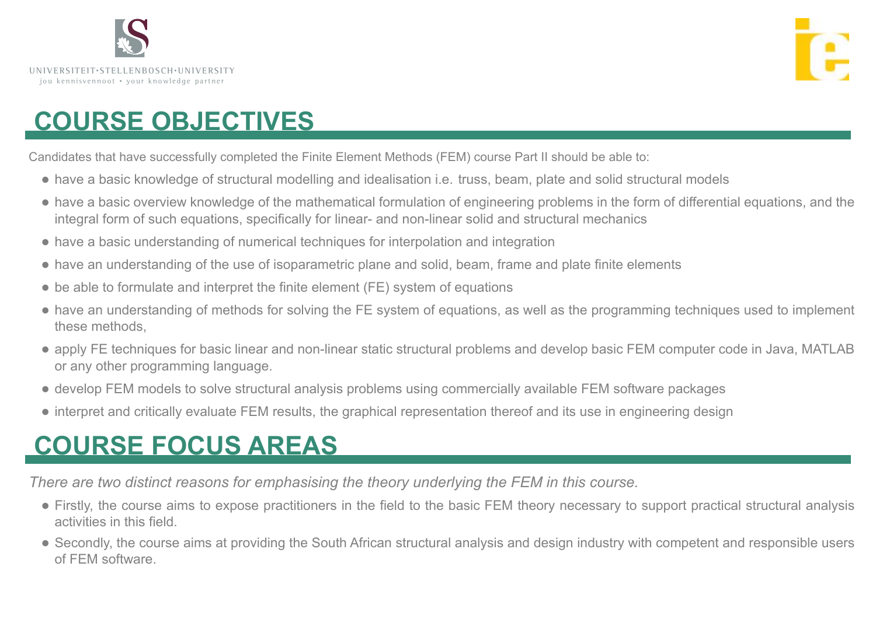



## **COURSE OBJECTIVES**

Candidates that have successfully completed the Finite Element Methods (FEM) course Part II should be able to:

- have a basic knowledge of structural modelling and idealisation i.e. truss, beam, plate and solid structural models
- have a basic overview knowledge of the mathematical formulation of engineering problems in the form of differential equations, and the integral form of such equations, specifically for linear- and non-linear solid and structural mechanics
- have a basic understanding of numerical techniques for interpolation and integration
- have an understanding of the use of isoparametric plane and solid, beam, frame and plate finite elements
- be able to formulate and interpret the finite element (FE) system of equations
- have an understanding of methods for solving the FE system of equations, as well as the programming techniques used to implement these methods,
- apply FE techniques for basic linear and non-linear static structural problems and develop basic FEM computer code in Java, MATLAB or any other programming language.
- develop FEM models to solve structural analysis problems using commercially available FEM software packages
- interpret and critically evaluate FEM results, the graphical representation thereof and its use in engineering design

## **COURSE FOCUS AREAS**

*There are two distinct reasons for emphasising the theory underlying the FEM in this course.*

- Firstly, the course aims to expose practitioners in the field to the basic FEM theory necessary to support practical structural analysis activities in this field.
- Secondly, the course aims at providing the South African structural analysis and design industry with competent and responsible users of FEM software.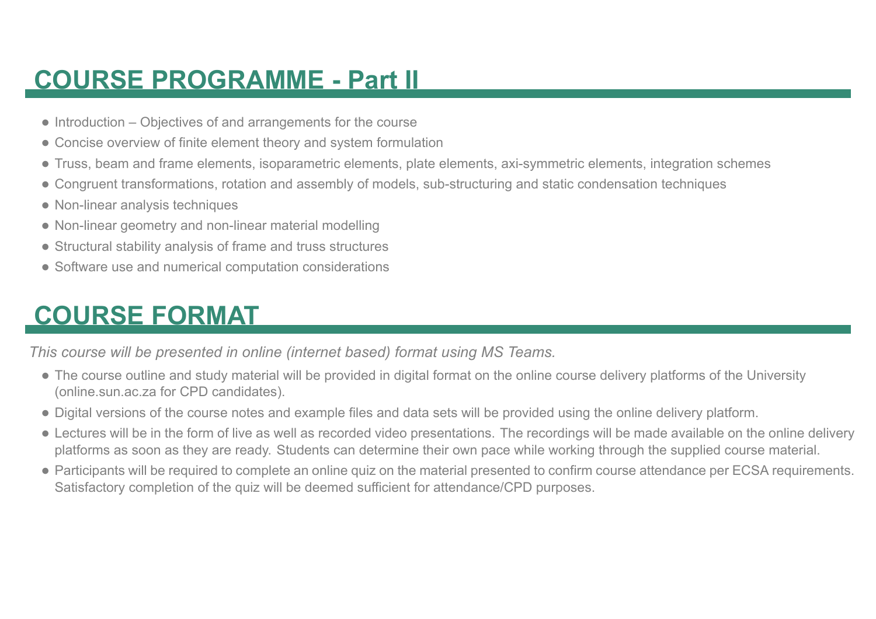## **COURSE PROGRAMME - Part II**

- Introduction Objectives of and arrangements for the course
- Concise overview of finite element theory and system formulation
- Truss, beam and frame elements, isoparametric elements, plate elements, axi-symmetric elements, integration schemes
- Congruent transformations, rotation and assembly of models, sub-structuring and static condensation techniques
- Non-linear analysis techniques
- Non-linear geometry and non-linear material modelling
- Structural stability analysis of frame and truss structures
- Software use and numerical computation considerations

## **COURSE FORMAT**

*This course will be presented in online (internet based) format using MS Teams.*

- The course outline and study material will be provided in digital format on the online course delivery platforms of the University (online.sun.ac.za for CPD candidates).
- Digital versions of the course notes and example files and data sets will be provided using the online delivery platform.
- Lectures will be in the form of live as well as recorded video presentations. The recordings will be made available on the online delivery platforms as soon as they are ready. Students can determine their own pace while working through the supplied course material.
- Participants will be required to complete an online quiz on the material presented to confirm course attendance per ECSA requirements. Satisfactory completion of the quiz will be deemed sufficient for attendance/CPD purposes.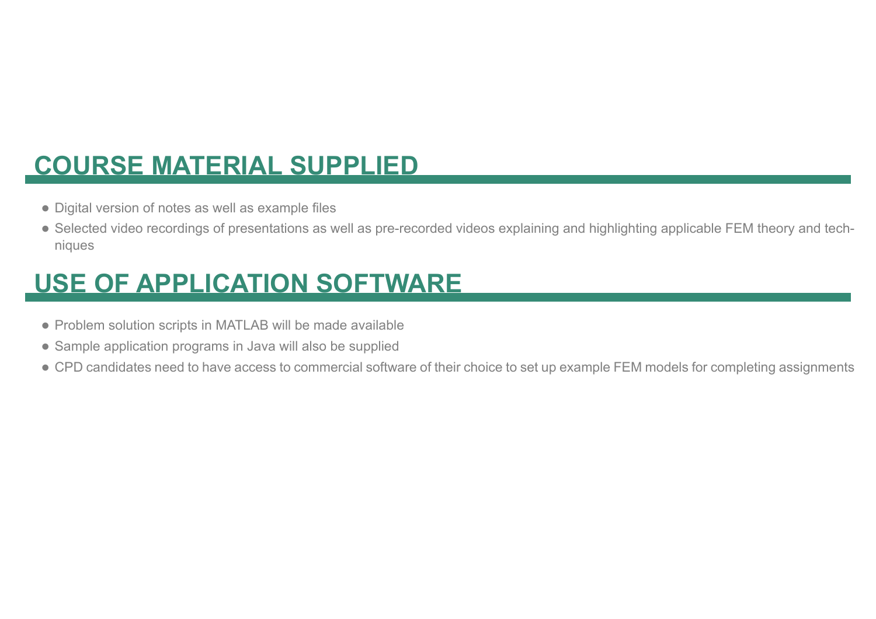## **COURSE MATERIAL SUPPLIED**

- Digital version of notes as well as example files
- Selected video recordings of presentations as well as pre-recorded videos explaining and highlighting applicable FEM theory and techniques

## **USE OF APPLICATION SOFTWARE**

- Problem solution scripts in MATLAB will be made available
- Sample application programs in Java will also be supplied
- CPD candidates need to have access to commercial software of their choice to set up example FEM models for completing assignments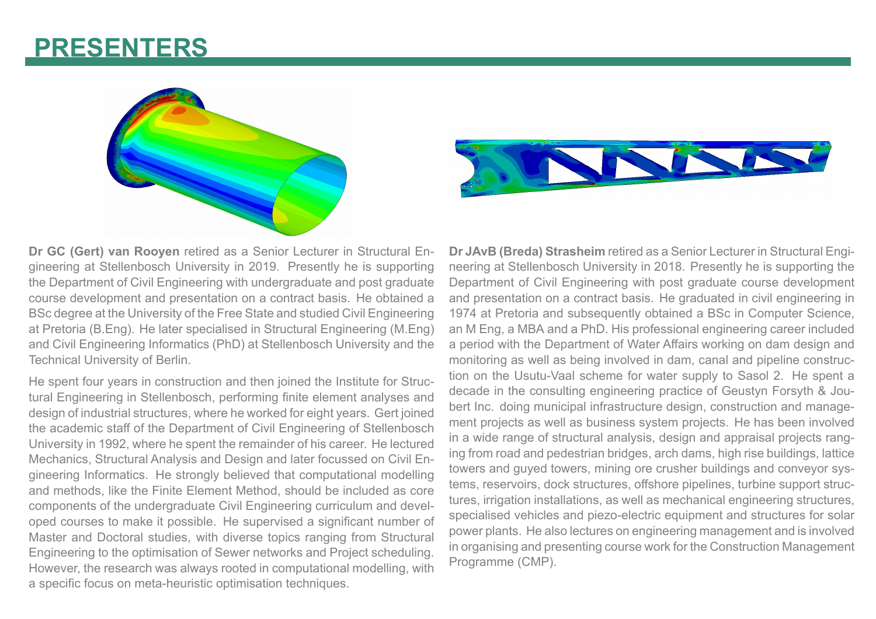## **PRESENTERS**





**Dr GC (Gert) van Rooyen** retired as a Senior Lecturer in Structural Engineering at Stellenbosch University in 2019. Presently he is supporting the Department of Civil Engineering with undergraduate and post graduate course development and presentation on a contract basis. He obtained a BSc degree at the University of the Free State and studied Civil Engineering at Pretoria (B.Eng). He later specialised in Structural Engineering (M.Eng) and Civil Engineering Informatics (PhD) at Stellenbosch University and the Technical University of Berlin.

He spent four years in construction and then joined the Institute for Structural Engineering in Stellenbosch, performing finite element analyses and design of industrial structures, where he worked for eight years. Gert joined the academic staff of the Department of Civil Engineering of Stellenbosch University in 1992, where he spent the remainder of his career. He lectured Mechanics, Structural Analysis and Design and later focussed on Civil Engineering Informatics. He strongly believed that computational modelling and methods, like the Finite Element Method, should be included as core components of the undergraduate Civil Engineering curriculum and developed courses to make it possible. He supervised a significant number of Master and Doctoral studies, with diverse topics ranging from Structural Engineering to the optimisation of Sewer networks and Project scheduling. However, the research was always rooted in computational modelling, with a specific focus on meta-heuristic optimisation techniques.

**Dr JAvB (Breda) Strasheim** retired as a Senior Lecturer in Structural Engineering at Stellenbosch University in 2018. Presently he is supporting the Department of Civil Engineering with post graduate course development and presentation on a contract basis. He graduated in civil engineering in 1974 at Pretoria and subsequently obtained a BSc in Computer Science, an M Eng, a MBA and a PhD. His professional engineering career included a period with the Department of Water Affairs working on dam design and monitoring as well as being involved in dam, canal and pipeline construction on the Usutu-Vaal scheme for water supply to Sasol 2. He spent a decade in the consulting engineering practice of Geustyn Forsyth & Joubert Inc. doing municipal infrastructure design, construction and management projects as well as business system projects. He has been involved in a wide range of structural analysis, design and appraisal projects ranging from road and pedestrian bridges, arch dams, high rise buildings, lattice towers and guyed towers, mining ore crusher buildings and conveyor systems, reservoirs, dock structures, offshore pipelines, turbine support structures, irrigation installations, as well as mechanical engineering structures, specialised vehicles and piezo-electric equipment and structures for solar power plants. He also lectures on engineering management and is involved in organising and presenting course work for the Construction Management Programme (CMP).